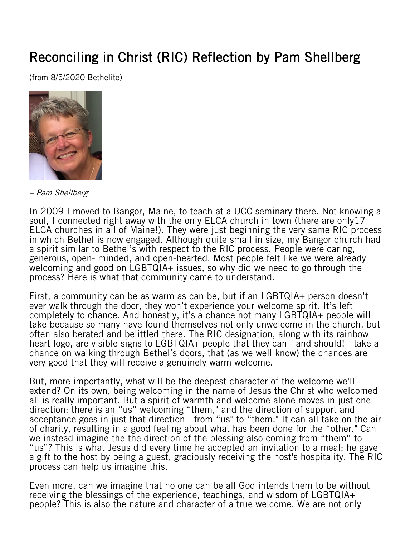## Reconciling in Christ (RIC) Reflection by Pam Shellberg

(from 8/5/2020 Bethelite)



– Pam Shellberg

In 2009 I moved to Bangor, Maine, to teach at a UCC seminary there. Not knowing a soul, I connected right away with the only ELCA church in town (there are only17 ELCA churches in all of Maine!). They were just beginning the very same RIC process in which Bethel is now engaged. Although quite small in size, my Bangor church had a spirit similar to Bethel's with respect to the RIC process. People were caring, generous, open- minded, and open-hearted. Most people felt like we were already welcoming and good on LGBTQIA+ issues, so why did we need to go through the process? Here is what that community came to understand.

First, a community can be as warm as can be, but if an LGBTQIA+ person doesn't ever walk through the door, they won't experience your welcome spirit. It's left completely to chance. And honestly, it's a chance not many LGBTQIA+ people will take because so many have found themselves not only unwelcome in the church, but often also berated and belittled there. The RIC designation, along with its rainbow heart logo, are visible signs to LGBTQIA+ people that they can - and should! - take a chance on walking through Bethel's doors, that (as we well know) the chances are very good that they will receive a genuinely warm welcome.

But, more importantly, what will be the deepest character of the welcome we'll extend? On its own, being welcoming in the name of Jesus the Christ who welcomed all is really important. But a spirit of warmth and welcome alone moves in just one direction; there is an "us" welcoming "them," and the direction of support and acceptance goes in just that direction - from "us" to "them." It can all take on the air of charity, resulting in a good feeling about what has been done for the "other." Can we instead imagine the the direction of the blessing also coming from "them" to "us"? This is what Jesus did every time he accepted an invitation to a meal; he gave a gift to the host by being a guest, graciously receiving the host's hospitality. The RIC process can help us imagine this.

Even more, can we imagine that no one can be all God intends them to be without receiving the blessings of the experience, teachings, and wisdom of LGBTQIA+ people? This is also the nature and character of a true welcome. We are not only